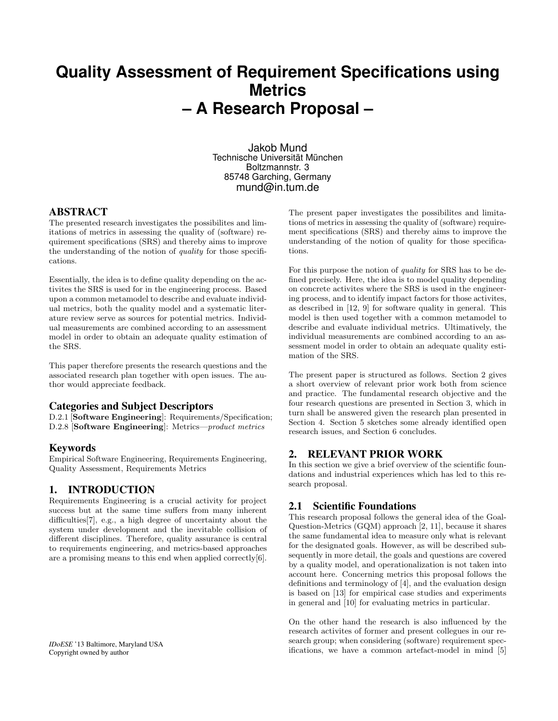# **Quality Assessment of Requirement Specifications using Metrics – A Research Proposal –**

Jakob Mund Technische Universität München Boltzmannstr. 3 85748 Garching, Germany mund@in.tum.de

#### ABSTRACT

The presented research investigates the possibilites and limitations of metrics in assessing the quality of (software) requirement specifications (SRS) and thereby aims to improve the understanding of the notion of quality for those specifications.

Essentially, the idea is to define quality depending on the activites the SRS is used for in the engineering process. Based upon a common metamodel to describe and evaluate individual metrics, both the quality model and a systematic literature review serve as sources for potential metrics. Individual measurements are combined according to an assessment model in order to obtain an adequate quality estimation of the SRS.

This paper therefore presents the research questions and the associated research plan together with open issues. The author would appreciate feedback.

#### Categories and Subject Descriptors

D.2.1 [Software Engineering]: Requirements/Specification; D.2.8 [Software Engineering]: Metrics—product metrics

#### Keywords

Empirical Software Engineering, Requirements Engineering, Quality Assessment, Requirements Metrics

# 1. INTRODUCTION

Requirements Engineering is a crucial activity for project success but at the same time suffers from many inherent difficulties[7], e.g., a high degree of uncertainty about the system under development and the inevitable collision of different disciplines. Therefore, quality assurance is central to requirements engineering, and metrics-based approaches are a promising means to this end when applied correctly[6].

The present paper investigates the possibilites and limitations of metrics in assessing the quality of (software) requirement specifications (SRS) and thereby aims to improve the understanding of the notion of quality for those specifications.

For this purpose the notion of quality for SRS has to be defined precisely. Here, the idea is to model quality depending on concrete activites where the SRS is used in the engineering process, and to identify impact factors for those activites, as described in [12, 9] for software quality in general. This model is then used together with a common metamodel to describe and evaluate individual metrics. Ultimatively, the individual measurements are combined according to an assessment model in order to obtain an adequate quality estimation of the SRS.

The present paper is structured as follows. Section 2 gives a short overview of relevant prior work both from science and practice. The fundamental research objective and the four research questions are presented in Section 3, which in turn shall be answered given the research plan presented in Section 4. Section 5 sketches some already identified open research issues, and Section 6 concludes.

#### 2. RELEVANT PRIOR WORK

In this section we give a brief overview of the scientific foundations and industrial experiences which has led to this research proposal.

# 2.1 Scientific Foundations

This research proposal follows the general idea of the Goal-Question-Metrics (GQM) approach [2, 11], because it shares the same fundamental idea to measure only what is relevant for the designated goals. However, as will be described subsequently in more detail, the goals and questions are covered by a quality model, and operationalization is not taken into account here. Concerning metrics this proposal follows the definitions and terminology of [4], and the evaluation design is based on [13] for empirical case studies and experiments in general and [10] for evaluating metrics in particular.

On the other hand the research is also influenced by the research activites of former and present collegues in our research group; when considering (software) requirement specifications, we have a common artefact-model in mind [5]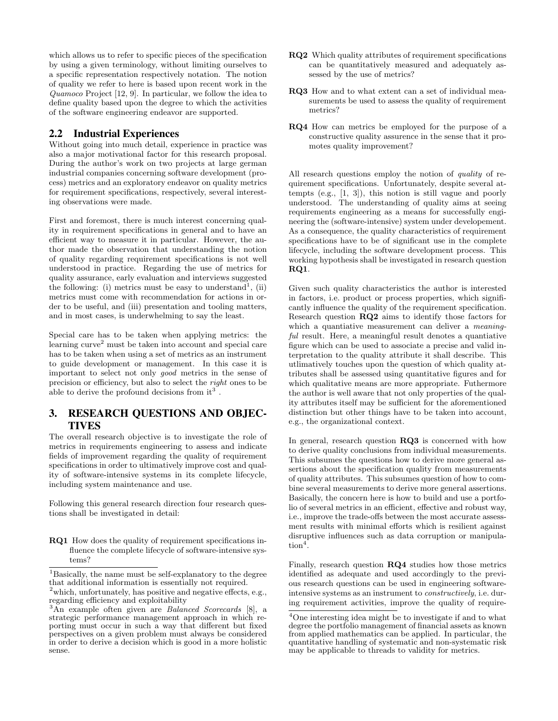which allows us to refer to specific pieces of the specification by using a given terminology, without limiting ourselves to a specific representation respectively notation. The notion of quality we refer to here is based upon recent work in the Quamoco Project [12, 9]. In particular, we follow the idea to define quality based upon the degree to which the activities of the software engineering endeavor are supported.

## 2.2 Industrial Experiences

Without going into much detail, experience in practice was also a major motivational factor for this research proposal. During the author's work on two projects at large german industrial companies concerning software development (process) metrics and an exploratory endeavor on quality metrics for requirement specifications, respectively, several interesting observations were made.

First and foremost, there is much interest concerning quality in requirement specifications in general and to have an efficient way to measure it in particular. However, the author made the observation that understanding the notion of quality regarding requirement specifications is not well understood in practice. Regarding the use of metrics for quality assurance, early evaluation and interviews suggested the following: (i) metrics must be easy to understand<sup>1</sup>, (ii) metrics must come with recommendation for actions in order to be useful, and (iii) presentation and tooling matters, and in most cases, is underwhelming to say the least.

Special care has to be taken when applying metrics: the learning  $\operatorname{curve}^2$  must be taken into account and special care has to be taken when using a set of metrics as an instrument to guide development or management. In this case it is important to select not only good metrics in the sense of precision or efficiency, but also to select the *right* ones to be able to derive the profound decisions from  $it^3$ .

# 3. RESEARCH QUESTIONS AND OBJEC-TIVES

The overall research objective is to investigate the role of metrics in requirements engineering to assess and indicate fields of improvement regarding the quality of requirement specifications in order to ultimatively improve cost and quality of software-intensive systems in its complete lifecycle, including system maintenance and use.

Following this general research direction four research questions shall be investigated in detail:

RQ1 How does the quality of requirement specifications influence the complete lifecycle of software-intensive systems?

- RQ2 Which quality attributes of requirement specifications can be quantitatively measured and adequately assessed by the use of metrics?
- RQ3 How and to what extent can a set of individual measurements be used to assess the quality of requirement metrics?
- RQ4 How can metrics be employed for the purpose of a constructive quality assurence in the sense that it promotes quality improvement?

All research questions employ the notion of quality of requirement specifications. Unfortunately, despite several attempts (e.g., [1, 3]), this notion is still vague and poorly understood. The understanding of quality aims at seeing requirements engineering as a means for successfully engineering the (software-intensive) system under developement. As a consequence, the quality characteristics of requirement specifications have to be of significant use in the complete lifecycle, including the software development process. This working hypothesis shall be investigated in research question RQ1.

Given such quality characteristics the author is interested in factors, i.e. product or process properties, which significantly influence the quality of the requirement specification. Research question RQ2 aims to identify those factors for which a quantiative measurement can deliver a *meaning*ful result. Here, a meaningful result denotes a quantiative figure which can be used to associate a precise and valid interpretation to the quality attribute it shall describe. This utlimatively touches upon the question of which quality attributes shall be assessed using quantitative figures and for which qualitative means are more appropriate. Futhermore the author is well aware that not only properties of the quality attributes itself may be sufficient for the aforementioned distinction but other things have to be taken into account, e.g., the organizational context.

In general, research question RQ3 is concerned with how to derive quality conclusions from individual measurements. This subsumes the questions how to derive more general assertions about the specification quality from measurements of quality attributes. This subsumes question of how to combine several measurements to derive more general assertions. Basically, the concern here is how to build and use a portfolio of several metrics in an efficient, effective and robust way, i.e., improve the trade-offs between the most accurate assessment results with minimal efforts which is resilient against disruptive influences such as data corruption or manipula- $\text{tion}^4$ .

Finally, research question RQ4 studies how those metrics identified as adequate and used accordingly to the previous research questions can be used in engineering softwareintensive systems as an instrument to constructively, i.e. during requirement activities, improve the quality of require-

<sup>&</sup>lt;sup>1</sup>Basically, the name must be self-explanatory to the degree that additional information is essentially not required.

<sup>&</sup>lt;sup>2</sup>which, unfortunately, has positive and negative effects, e.g., regarding efficiency and exploitability

<sup>&</sup>lt;sup>3</sup>An example often given are *Balanced Scorecards* [8], a strategic performance management approach in which reporting must occur in such a way that different but fixed perspectives on a given problem must always be considered in order to derive a decision which is good in a more holistic sense.

<sup>4</sup>One interesting idea might be to investigate if and to what degree the portfolio management of financial assets as known from applied mathematics can be applied. In particular, the quantitative handling of systematic and non-systematic risk may be applicable to threads to validity for metrics.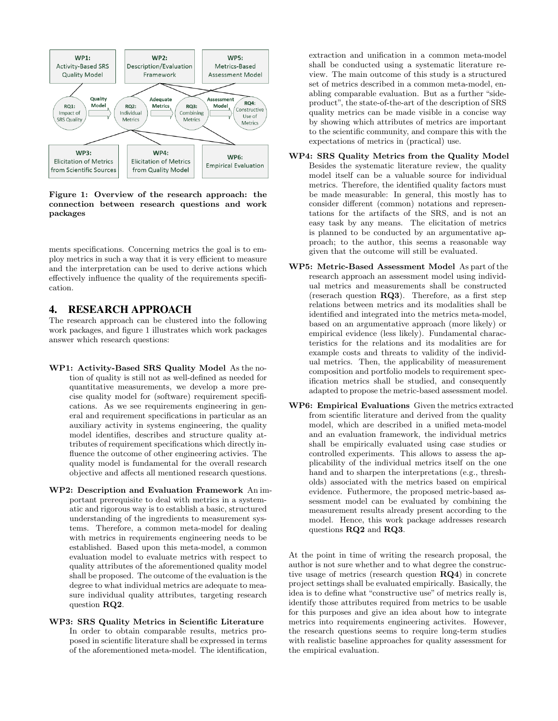

Figure 1: Overview of the research approach: the connection between research questions and work packages

ments specifications. Concerning metrics the goal is to employ metrics in such a way that it is very efficient to measure and the interpretation can be used to derive actions which effectively influence the quality of the requirements specification.

## 4. RESEARCH APPROACH

The research approach can be clustered into the following work packages, and figure 1 illustrates which work packages answer which research questions:

- WP1: Activity-Based SRS Quality Model As the notion of quality is still not as well-defined as needed for quantitative measurements, we develop a more precise quality model for (software) requirement specifications. As we see requirements engineering in general and requirement specifications in particular as an auxiliary activity in systems engineering, the quality model identifies, describes and structure quality attributes of requirement specifications which directly influence the outcome of other engineering activies. The quality model is fundamental for the overall research objective and affects all mentioned research questions.
- WP2: Description and Evaluation Framework An important prerequisite to deal with metrics in a systematic and rigorous way is to establish a basic, structured understanding of the ingredients to measurement systems. Therefore, a common meta-model for dealing with metrics in requirements engineering needs to be established. Based upon this meta-model, a common evaluation model to evaluate metrics with respect to quality attributes of the aforementioned quality model shall be proposed. The outcome of the evaluation is the degree to what individual metrics are adequate to measure individual quality attributes, targeting research question RQ2.
- WP3: SRS Quality Metrics in Scientific Literature In order to obtain comparable results, metrics proposed in scientific literature shall be expressed in terms of the aforementioned meta-model. The identification,

extraction and unification in a common meta-model shall be conducted using a systematic literature review. The main outcome of this study is a structured set of metrics described in a common meta-model, enabling comparable evaluation. But as a further "sideproduct", the state-of-the-art of the description of SRS quality metrics can be made visible in a concise way by showing which attributes of metrics are important to the scientific community, and compare this with the expectations of metrics in (practical) use.

- WP4: SRS Quality Metrics from the Quality Model Besides the systematic literature review, the quality model itself can be a valuable source for individual metrics. Therefore, the identified quality factors must be made measurable: In general, this mostly has to consider different (common) notations and representations for the artifacts of the SRS, and is not an easy task by any means. The elicitation of metrics is planned to be conducted by an argumentative approach; to the author, this seems a reasonable way given that the outcome will still be evaluated.
- WP5: Metric-Based Assessment Model As part of the research approach an assessment model using individual metrics and measurements shall be constructed (reserach question RQ3). Therefore, as a first step relations between metrics and its modalities shall be identified and integrated into the metrics meta-model, based on an argumentative approach (more likely) or empirical evidence (less likely). Fundamental characteristics for the relations and its modalities are for example costs and threats to validity of the individual metrics. Then, the applicability of measurement composition and portfolio models to requirement specification metrics shall be studied, and consequently adapted to propose the metric-based assessment model.
- WP6: Empirical Evaluations Given the metrics extracted from scientific literature and derived from the quality model, which are described in a unified meta-model and an evaluation framework, the individual metrics shall be empirically evaluated using case studies or controlled experiments. This allows to assess the applicability of the individual metrics itself on the one hand and to sharpen the interpretations (e.g., thresholds) associated with the metrics based on empirical evidence. Futhermore, the proposed metric-based assessment model can be evaluated by combining the measurement results already present according to the model. Hence, this work package addresses research questions RQ2 and RQ3.

At the point in time of writing the research proposal, the author is not sure whether and to what degree the constructive usage of metrics (research question RQ4) in concrete project settings shall be evaluated empirically. Basically, the idea is to define what "constructive use" of metrics really is, identify those attributes required from metrics to be usable for this purposes and give an idea about how to integrate metrics into requirements engineering activites. However, the research questions seems to require long-term studies with realistic baseline approaches for quality assessment for the empirical evaluation.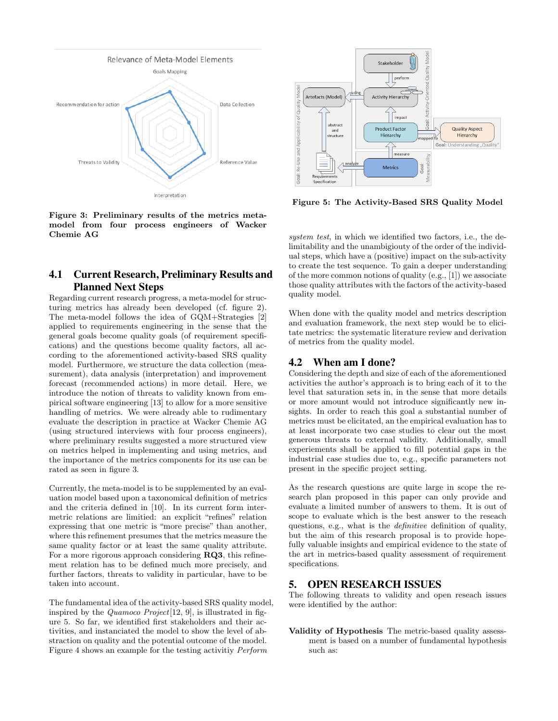

Figure 3: Preliminary results of the metrics metamodel from four process engineers of Wacker Chemie AG

# 4.1 Current Research, Preliminary Results and Planned Next Steps

Regarding current research progress, a meta-model for structuring metrics has already been developed (cf. figure 2). The meta-model follows the idea of GQM+Strategies [2] applied to requirements engineering in the sense that the general goals become quality goals (of requirement specifications) and the questions become quality factors, all according to the aforementioned activity-based SRS quality model. Furthermore, we structure the data collection (measurement), data analysis (interpretation) and improvement forecast (recommended actions) in more detail. Here, we introduce the notion of threats to validity known from empirical software engineering [13] to allow for a more sensitive handling of metrics. We were already able to rudimentary evaluate the description in practice at Wacker Chemie AG (using structured interviews with four process engineers), where preliminary results suggested a more structured view on metrics helped in implementing and using metrics, and the importance of the metrics components for its use can be rated as seen in figure 3.

Currently, the meta-model is to be supplemented by an evaluation model based upon a taxonomical definition of metrics and the criteria defined in [10]. In its current form intermetric relations are limitied: an explicit "refines" relation expressing that one metric is "more precise" than another, where this refinement presumes that the metrics measure the same quality factor or at least the same quality attribute. For a more rigorous approach considering RQ3, this refinement relation has to be defined much more precisely, and further factors, threats to validity in particular, have to be taken into account.

The fundamental idea of the activity-based SRS quality model, inspired by the *Quamoco Project* [12, 9], is illustrated in figure 5. So far, we identified first stakeholders and their activities, and instanciated the model to show the level of abstraction on quality and the potential outcome of the model. Figure 4 shows an example for the testing activitiy Perform



Figure 5: The Activity-Based SRS Quality Model

system test, in which we identified two factors, i.e., the delimitability and the unambigiouty of the order of the individual steps, which have a (positive) impact on the sub-activity to create the test sequence. To gain a deeper understanding of the more common notions of quality (e.g., [1]) we associate those quality attributes with the factors of the activity-based quality model.

When done with the quality model and metrics description and evaluation framework, the next step would be to elicitate metrics: the systematic literature review and derivation of metrics from the quality model.

# 4.2 When am I done?

Considering the depth and size of each of the aforementioned activities the author's approach is to bring each of it to the level that saturation sets in, in the sense that more details or more amount would not introduce significantly new insights. In order to reach this goal a substantial number of metrics must be elicitated, an the empirical evaluation has to at least incorporate two case studies to clear out the most generous threats to external validity. Additionally, small experiements shall be applied to fill potential gaps in the industrial case studies due to, e.g., specific parameters not present in the specific project setting.

As the research questions are quite large in scope the research plan proposed in this paper can only provide and evaluate a limited number of answers to them. It is out of scope to evaluate which is the best answer to the reseach questions, e.g., what is the *definitive* definition of quality, but the aim of this research proposal is to provide hopefully valuable insights and empirical evidence to the state of the art in metrics-based quality assessment of requirement specifications.

# 5. OPEN RESEARCH ISSUES

The following threats to validity and open reseach issues were identified by the author:

Validity of Hypothesis The metric-based quality assessment is based on a number of fundamental hypothesis such as: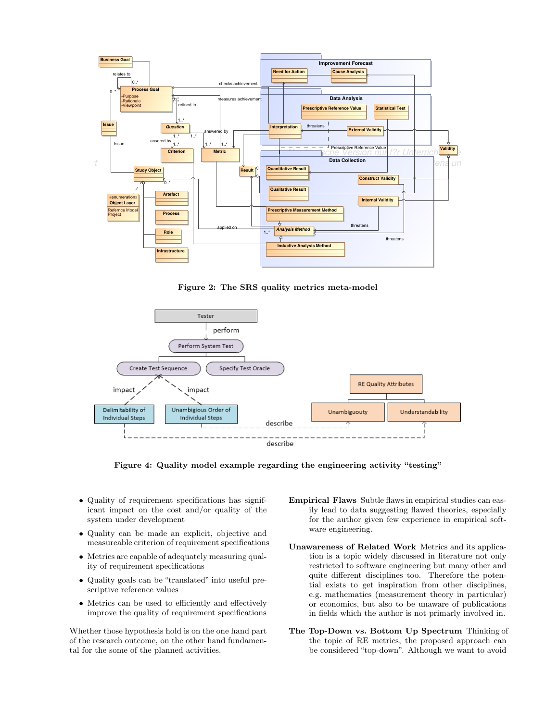

Figure 2: The SRS quality metrics meta-model



Figure 4: Quality model example regarding the engineering activity "testing"

- Quality of requirement specifications has significant impact on the cost and/or quality of the system under development
- Quality can be made an explicit, objective and measureable criterion of requirement specifications
- Metrics are capable of adequately measuring quality of requirement specifications
- Quality goals can be "translated" into useful prescriptive reference values
- Metrics can be used to efficiently and effectively improve the quality of requirement specifications

Whether those hypothesis hold is on the one hand part of the research outcome, on the other hand fundamental for the some of the planned activities.

- Empirical Flaws Subtle flaws in empirical studies can easily lead to data suggesting flawed theories, especially for the author given few experience in empirical software engineering.
- Unawareness of Related Work Metrics and its application is a topic widely discussed in literature not only restricted to software engineering but many other and quite different disciplines too. Therefore the potential exists to get inspiration from other disciplines, e.g. mathematics (measurement theory in particular) or economics, but also to be unaware of publications in fields which the author is not primarly involved in.
- The Top-Down vs. Bottom Up Spectrum Thinking of the topic of RE metrics, the proposed approach can be considered "top-down". Although we want to avoid